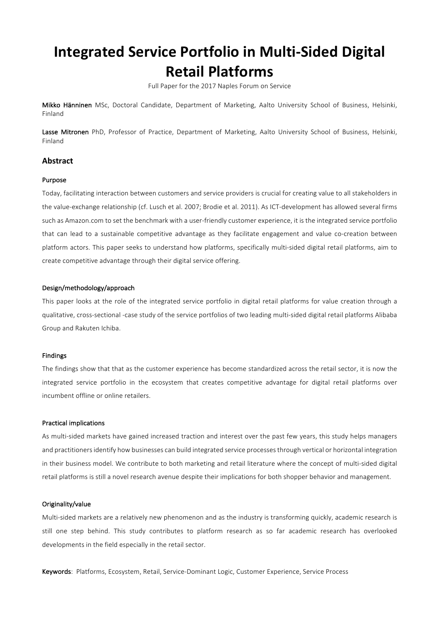# **Integrated Service Portfolio in Multi-Sided Digital Retail Platforms**

Full Paper for the 2017 Naples Forum on Service

Mikko Hänninen MSc, Doctoral Candidate, Department of Marketing, Aalto University School of Business, Helsinki, Finland

Lasse Mitronen PhD, Professor of Practice, Department of Marketing, Aalto University School of Business, Helsinki, Finland

# **Abstract**

#### Purpose

Today, facilitating interaction between customers and service providers is crucial for creating value to all stakeholders in the value-exchange relationship (cf. Lusch et al. 2007; Brodie et al. 2011). As ICT-development has allowed several firms such as Amazon.com to set the benchmark with a user-friendly customer experience, it is the integrated service portfolio that can lead to a sustainable competitive advantage as they facilitate engagement and value co-creation between platform actors. This paper seeks to understand how platforms, specifically multi-sided digital retail platforms, aim to create competitive advantage through their digital service offering.

#### Design/methodology/approach

This paper looks at the role of the integrated service portfolio in digital retail platforms for value creation through a qualitative, cross-sectional -case study of the service portfolios of two leading multi-sided digital retail platforms Alibaba Group and Rakuten Ichiba.

#### Findings

The findings show that that as the customer experience has become standardized across the retail sector, it is now the integrated service portfolio in the ecosystem that creates competitive advantage for digital retail platforms over incumbent offline or online retailers.

#### Practical implications

As multi-sided markets have gained increased traction and interest over the past few years, this study helps managers and practitioners identify how businesses can build integrated service processes through vertical or horizontal integration in their business model. We contribute to both marketing and retail literature where the concept of multi-sided digital retail platforms is still a novel research avenue despite their implications for both shopper behavior and management.

#### Originality/value

Multi-sided markets are a relatively new phenomenon and as the industry is transforming quickly, academic research is still one step behind. This study contributes to platform research as so far academic research has overlooked developments in the field especially in the retail sector.

Keywords: Platforms, Ecosystem, Retail, Service-Dominant Logic, Customer Experience, Service Process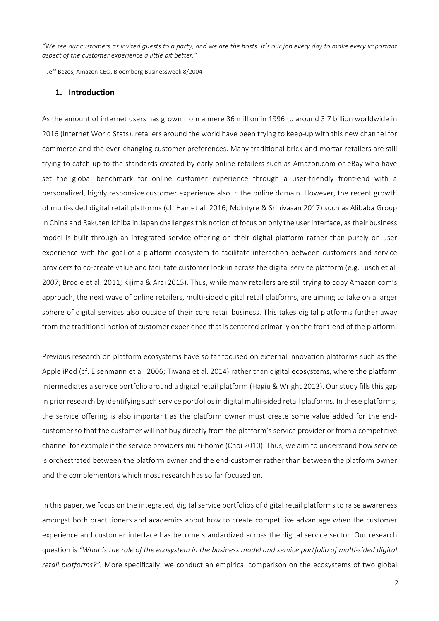*"We see our customers as invited guests to a party, and we are the hosts. It's our job every day to make every important aspect of the customer experience a little bit better."* 

– Jeff Bezos, Amazon CEO, Bloomberg Businessweek 8/2004

# **1. Introduction**

As the amount of internet users has grown from a mere 36 million in 1996 to around 3.7 billion worldwide in 2016 (Internet World Stats), retailers around the world have been trying to keep-up with this new channel for commerce and the ever-changing customer preferences. Many traditional brick-and-mortar retailers are still trying to catch-up to the standards created by early online retailers such as Amazon.com or eBay who have set the global benchmark for online customer experience through a user-friendly front-end with a personalized, highly responsive customer experience also in the online domain. However, the recent growth of multi-sided digital retail platforms (cf. Han et al. 2016; McIntyre & Srinivasan 2017) such as Alibaba Group in China and Rakuten Ichiba in Japan challenges this notion of focus on only the user interface, as their business model is built through an integrated service offering on their digital platform rather than purely on user experience with the goal of a platform ecosystem to facilitate interaction between customers and service providers to co-create value and facilitate customer lock-in across the digital service platform (e.g. Lusch et al. 2007; Brodie et al. 2011; Kijima & Arai 2015). Thus, while many retailers are still trying to copy Amazon.com's approach, the next wave of online retailers, multi-sided digital retail platforms, are aiming to take on a larger sphere of digital services also outside of their core retail business. This takes digital platforms further away from the traditional notion of customer experience that is centered primarily on the front-end of the platform.

Previous research on platform ecosystems have so far focused on external innovation platforms such as the Apple iPod (cf. Eisenmann et al. 2006; Tiwana et al. 2014) rather than digital ecosystems, where the platform intermediates a service portfolio around a digital retail platform (Hagiu & Wright 2013). Our study fills this gap in prior research by identifying such service portfolios in digital multi-sided retail platforms. In these platforms, the service offering is also important as the platform owner must create some value added for the endcustomer so that the customer will not buy directly from the platform's service provider or from a competitive channel for example if the service providers multi-home (Choi 2010). Thus, we aim to understand how service is orchestrated between the platform owner and the end-customer rather than between the platform owner and the complementors which most research has so far focused on.

In this paper, we focus on the integrated, digital service portfolios of digital retail platforms to raise awareness amongst both practitioners and academics about how to create competitive advantage when the customer experience and customer interface has become standardized across the digital service sector. Our research question is "What is the role of the ecosystem in the business model and service portfolio of multi-sided digital *retail platforms?"*. More specifically, we conduct an empirical comparison on the ecosystems of two global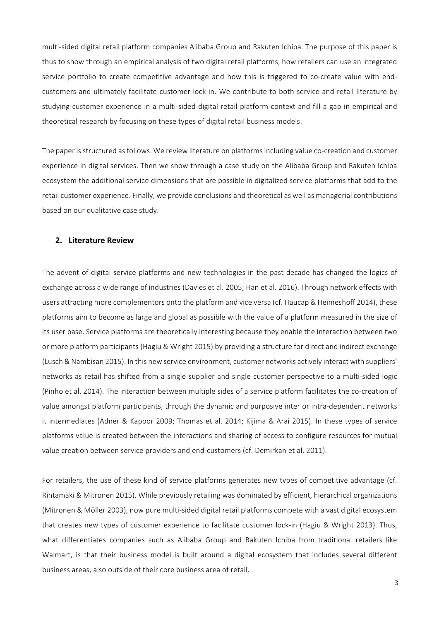multi-sided digital retail platform companies Alibaba Group and Rakuten Ichiba. The purpose of this paper is thus to show through an empirical analysis of two digital retail platforms, how retailers can use an integrated service portfolio to create competitive advantage and how this is triggered to co-create value with endcustomers and ultimately facilitate customer-lock in. We contribute to both service and retail literature by studying customer experience in a multi-sided digital retail platform context and fill a gap in empirical and theoretical research by focusing on these types of digital retail business models.

The paper is structured as follows. We review literature on platforms including value co-creation and customer experience in digital services. Then we show through a case study on the Alibaba Group and Rakuten Ichiba ecosystem the additional service dimensions that are possible in digitalized service platforms that add to the retail customer experience. Finally, we provide conclusions and theoretical as well as managerial contributions based on our qualitative case study.

### **2. Literature Review**

The advent of digital service platforms and new technologies in the past decade has changed the logics of exchange across a wide range of industries (Davies et al. 2005; Han et al. 2016). Through network effects with users attracting more complementors onto the platform and vice versa (cf. Haucap & Heimeshoff 2014), these platforms aim to become as large and global as possible with the value of a platform measured in the size of its user base. Service platforms are theoretically interesting because they enable the interaction between two or more platform participants (Hagiu & Wright 2015) by providing a structure for direct and indirect exchange (Lusch & Nambisan 2015). In this new service environment, customer networks actively interact with suppliers' networks as retail has shifted from a single supplier and single customer perspective to a multi-sided logic (Pinho et al. 2014). The interaction between multiple sides of a service platform facilitates the co-creation of value amongst platform participants, through the dynamic and purposive inter or intra-dependent networks it intermediates (Adner & Kapoor 2009; Thomas et al. 2014; Kijima & Arai 2015). In these types of service platforms value is created between the interactions and sharing of access to configure resources for mutual value creation between service providers and end-customers (cf. Demirkan et al. 2011).

For retailers, the use of these kind of service platforms generates new types of competitive advantage (cf. Rintamäki & Mitronen 2015). While previously retailing was dominated by efficient, hierarchical organizations (Mitronen & Möller 2003), now pure multi-sided digital retail platforms compete with a vast digital ecosystem that creates new types of customer experience to facilitate customer lock-in (Hagiu & Wright 2013). Thus, what differentiates companies such as Alibaba Group and Rakuten Ichiba from traditional retailers like Walmart, is that their business model is built around a digital ecosystem that includes several different business areas, also outside of their core business area of retail.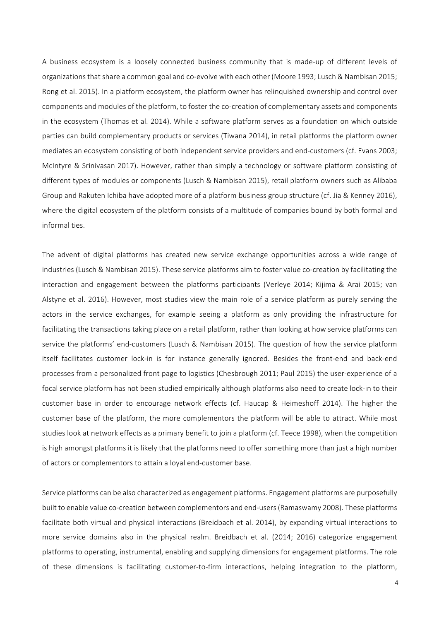A business ecosystem is a loosely connected business community that is made-up of different levels of organizations that share a common goal and co-evolve with each other (Moore 1993; Lusch & Nambisan 2015; Rong et al. 2015). In a platform ecosystem, the platform owner has relinquished ownership and control over components and modules of the platform, to foster the co-creation of complementary assets and components in the ecosystem (Thomas et al. 2014). While a software platform serves as a foundation on which outside parties can build complementary products or services (Tiwana 2014), in retail platforms the platform owner mediates an ecosystem consisting of both independent service providers and end-customers (cf. Evans 2003; McIntyre & Srinivasan 2017). However, rather than simply a technology or software platform consisting of different types of modules or components (Lusch & Nambisan 2015), retail platform owners such as Alibaba Group and Rakuten Ichiba have adopted more of a platform business group structure (cf. Jia & Kenney 2016), where the digital ecosystem of the platform consists of a multitude of companies bound by both formal and informal ties.

The advent of digital platforms has created new service exchange opportunities across a wide range of industries (Lusch & Nambisan 2015). These service platforms aim to foster value co-creation by facilitating the interaction and engagement between the platforms participants (Verleye 2014; Kijima & Arai 2015; van Alstyne et al. 2016). However, most studies view the main role of a service platform as purely serving the actors in the service exchanges, for example seeing a platform as only providing the infrastructure for facilitating the transactions taking place on a retail platform, rather than looking at how service platforms can service the platforms' end-customers (Lusch & Nambisan 2015). The question of how the service platform itself facilitates customer lock-in is for instance generally ignored. Besides the front-end and back-end processes from a personalized front page to logistics (Chesbrough 2011; Paul 2015) the user-experience of a focal service platform has not been studied empirically although platforms also need to create lock-in to their customer base in order to encourage network effects (cf. Haucap & Heimeshoff 2014). The higher the customer base of the platform, the more complementors the platform will be able to attract. While most studies look at network effects as a primary benefit to join a platform (cf. Teece 1998), when the competition is high amongst platforms it is likely that the platforms need to offer something more than just a high number of actors or complementors to attain a loyal end-customer base.

Service platforms can be also characterized as engagement platforms. Engagement platforms are purposefully built to enable value co-creation between complementors and end-users (Ramaswamy 2008). These platforms facilitate both virtual and physical interactions (Breidbach et al. 2014), by expanding virtual interactions to more service domains also in the physical realm. Breidbach et al. (2014; 2016) categorize engagement platforms to operating, instrumental, enabling and supplying dimensions for engagement platforms. The role of these dimensions is facilitating customer-to-firm interactions, helping integration to the platform,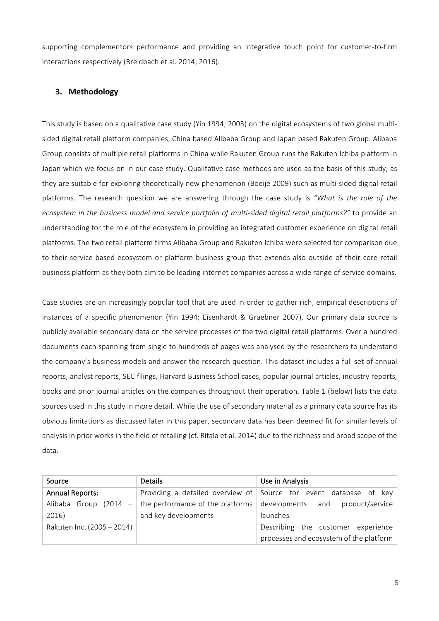supporting complementors performance and providing an integrative touch point for customer-to-firm interactions respectively (Breidbach et al. 2014; 2016).

# **3. Methodology**

This study is based on a qualitative case study (Yin 1994; 2003) on the digital ecosystems of two global multisided digital retail platform companies, China based Alibaba Group and Japan based Rakuten Group. Alibaba Group consists of multiple retail platforms in China while Rakuten Group runs the Rakuten Ichiba platform in Japan which we focus on in our case study. Qualitative case methods are used as the basis of this study, as they are suitable for exploring theoretically new phenomenon (Boeije 2009) such as multi-sided digital retail platforms. The research question we are answering through the case study is "What is the role of the ecosystem in the business model and service portfolio of multi-sided digital retail platforms?" to provide an understanding for the role of the ecosystem in providing an integrated customer experience on digital retail platforms. The two retail platform firms Alibaba Group and Rakuten Ichiba were selected for comparison due to their service based ecosystem or platform business group that extends also outside of their core retail business platform as they both aim to be leading internet companies across a wide range of service domains.

Case studies are an increasingly popular tool that are used in-order to gather rich, empirical descriptions of instances of a specific phenomenon (Yin 1994; Eisenhardt & Graebner 2007). Our primary data source is publicly available secondary data on the service processes of the two digital retail platforms. Over a hundred documents each spanning from single to hundreds of pages was analysed by the researchers to understand the company's business models and answer the research question. This dataset includes a full set of annual reports, analyst reports, SEC filings, Harvard Business School cases, popular journal articles, industry reports, books and prior journal articles on the companies throughout their operation. Table 1 (below) lists the data sources used in this study in more detail. While the use of secondary material as a primary data source has its obvious limitations as discussed later in this paper, secondary data has been deemed fit for similar levels of analysis in prior works in the field of retailing (cf. Ritala et al. 2014) due to the richness and broad scope of the data. 

| Source                         | <b>Details</b>       | Use in Analysis                                                           |
|--------------------------------|----------------------|---------------------------------------------------------------------------|
| <b>Annual Reports:</b>         |                      | Providing a detailed overview of Source for event database of key         |
| Alibaba Group<br>(2014<br>$-1$ |                      | the performance of the platforms $\vert$ developments and product/service |
| 2016)                          | and key developments | launches                                                                  |
| Rakuten Inc. (2005 - 2014)     |                      | Describing the customer experience                                        |
|                                |                      | processes and ecosystem of the platform                                   |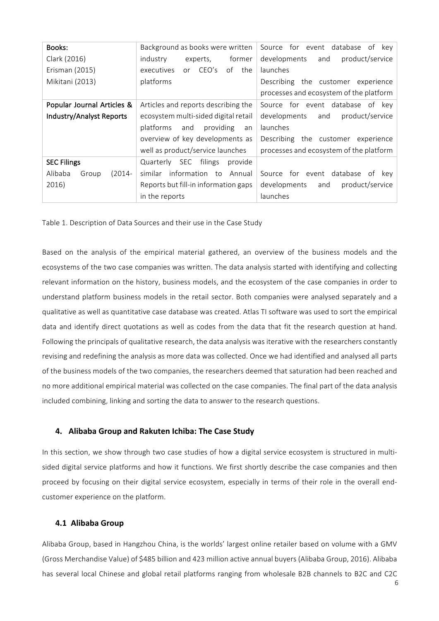| Books:                        | Background as books were written            | Source for event database of<br>kev l   |
|-------------------------------|---------------------------------------------|-----------------------------------------|
| Clark (2016)                  | industry<br>former<br>experts,              | developments<br>product/service<br>and  |
| Erisman (2015)                | CEO's<br>of the<br>executives<br>$\alpha$ r | launches                                |
| Mikitani (2013)               | platforms                                   | Describing the customer experience      |
|                               |                                             | processes and ecosystem of the platform |
| Popular Journal Articles &    | Articles and reports describing the         | Source for event database of key        |
| Industry/Analyst Reports      | ecosystem multi-sided digital retail        | product/service<br>developments<br>and  |
|                               | providing<br>platforms<br>and<br>an         | launches                                |
|                               | overview of key developments as             | Describing the customer experience      |
|                               | well as product/service launches            | processes and ecosystem of the platform |
| <b>SEC Filings</b>            | filings<br>Quarterly SEC<br>provide         |                                         |
| Alibaba<br>$(2014 -$<br>Group | information to Annual<br>similar            | Source for event database of<br>kev     |
| 2016)                         | Reports but fill-in information gaps        | developments<br>product/service<br>and  |
|                               | in the reports                              | launches                                |

Table 1. Description of Data Sources and their use in the Case Study

Based on the analysis of the empirical material gathered, an overview of the business models and the ecosystems of the two case companies was written. The data analysis started with identifying and collecting relevant information on the history, business models, and the ecosystem of the case companies in order to understand platform business models in the retail sector. Both companies were analysed separately and a qualitative as well as quantitative case database was created. Atlas TI software was used to sort the empirical data and identify direct quotations as well as codes from the data that fit the research question at hand. Following the principals of qualitative research, the data analysis was iterative with the researchers constantly revising and redefining the analysis as more data was collected. Once we had identified and analysed all parts of the business models of the two companies, the researchers deemed that saturation had been reached and no more additional empirical material was collected on the case companies. The final part of the data analysis included combining, linking and sorting the data to answer to the research questions.

# **4. Alibaba Group and Rakuten Ichiba: The Case Study**

In this section, we show through two case studies of how a digital service ecosystem is structured in multisided digital service platforms and how it functions. We first shortly describe the case companies and then proceed by focusing on their digital service ecosystem, especially in terms of their role in the overall endcustomer experience on the platform.

## **4.1 Alibaba Group**

Alibaba Group, based in Hangzhou China, is the worlds' largest online retailer based on volume with a GMV (Gross Merchandise Value) of \$485 billion and 423 million active annual buyers (Alibaba Group, 2016). Alibaba has several local Chinese and global retail platforms ranging from wholesale B2B channels to B2C and C2C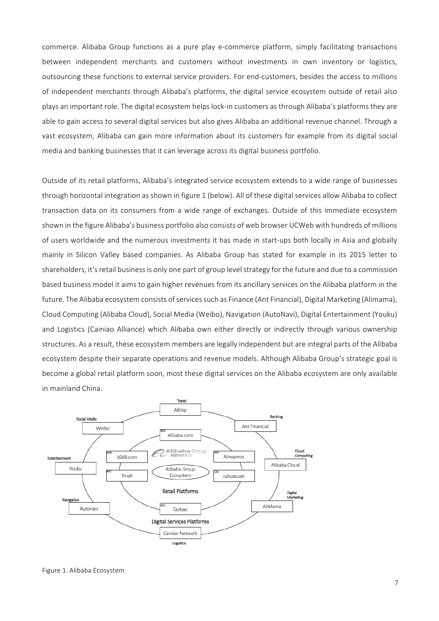commerce. Alibaba Group functions as a pure play e-commerce platform, simply facilitating transactions between independent merchants and customers without investments in own inventory or logistics, outsourcing these functions to external service providers. For end-customers, besides the access to millions of independent merchants through Alibaba's platforms, the digital service ecosystem outside of retail also plays an important role. The digital ecosystem helps lock-in customers as through Alibaba's platforms they are able to gain access to several digital services but also gives Alibaba an additional revenue channel. Through a vast ecosystem, Alibaba can gain more information about its customers for example from its digital social media and banking businesses that it can leverage across its digital business portfolio.

Outside of its retail platforms, Alibaba's integrated service ecosystem extends to a wide range of businesses through horizontal integration as shown in figure 1 (below). All of these digital services allow Alibaba to collect transaction data on its consumers from a wide range of exchanges. Outside of this immediate ecosystem shown in the figure Alibaba's business portfolio also consists of web browser UCWeb with hundreds of millions of users worldwide and the numerous investments it has made in start-ups both locally in Asia and globally mainly in Silicon Valley based companies. As Alibaba Group has stated for example in its 2015 letter to shareholders, it's retail business is only one part of group level strategy for the future and due to a commission based business model it aims to gain higher revenues from its ancillary services on the Alibaba platform in the future. The Alibaba ecosystem consists of services such as Finance (Ant Financial), Digital Marketing (Alimama), Cloud Computing (Alibaba Cloud), Social Media (Weibo), Navigation (AutoNavi), Digital Entertainment (Youku) and Logistics (Cainiao Alliance) which Alibaba own either directly or indirectly through various ownership structures. As a result, these ecosystem members are legally independent but are integral parts of the Alibaba ecosystem despite their separate operations and revenue models. Although Alibaba Group's strategic goal is become a global retail platform soon, most these digital services on the Alibaba ecosystem are only available in mainland China.

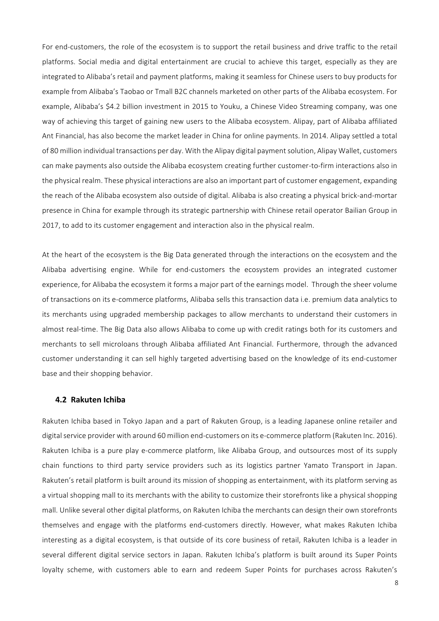For end-customers, the role of the ecosystem is to support the retail business and drive traffic to the retail platforms. Social media and digital entertainment are crucial to achieve this target, especially as they are integrated to Alibaba's retail and payment platforms, making it seamless for Chinese users to buy products for example from Alibaba's Taobao or Tmall B2C channels marketed on other parts of the Alibaba ecosystem. For example, Alibaba's \$4.2 billion investment in 2015 to Youku, a Chinese Video Streaming company, was one way of achieving this target of gaining new users to the Alibaba ecosystem. Alipay, part of Alibaba affiliated Ant Financial, has also become the market leader in China for online payments. In 2014. Alipay settled a total of 80 million individual transactions per day. With the Alipay digital payment solution, Alipay Wallet, customers can make payments also outside the Alibaba ecosystem creating further customer-to-firm interactions also in the physical realm. These physical interactions are also an important part of customer engagement, expanding the reach of the Alibaba ecosystem also outside of digital. Alibaba is also creating a physical brick-and-mortar presence in China for example through its strategic partnership with Chinese retail operator Bailian Group in 2017, to add to its customer engagement and interaction also in the physical realm.

At the heart of the ecosystem is the Big Data generated through the interactions on the ecosystem and the Alibaba advertising engine. While for end-customers the ecosystem provides an integrated customer experience, for Alibaba the ecosystem it forms a major part of the earnings model. Through the sheer volume of transactions on its e-commerce platforms, Alibaba sells this transaction data i.e. premium data analytics to its merchants using upgraded membership packages to allow merchants to understand their customers in almost real-time. The Big Data also allows Alibaba to come up with credit ratings both for its customers and merchants to sell microloans through Alibaba affiliated Ant Financial. Furthermore, through the advanced customer understanding it can sell highly targeted advertising based on the knowledge of its end-customer base and their shopping behavior.

#### **4.2 Rakuten Ichiba**

Rakuten Ichiba based in Tokyo Japan and a part of Rakuten Group, is a leading Japanese online retailer and digital service provider with around 60 million end-customers on its e-commerce platform (Rakuten Inc. 2016). Rakuten Ichiba is a pure play e-commerce platform, like Alibaba Group, and outsources most of its supply chain functions to third party service providers such as its logistics partner Yamato Transport in Japan. Rakuten's retail platform is built around its mission of shopping as entertainment, with its platform serving as a virtual shopping mall to its merchants with the ability to customize their storefronts like a physical shopping mall. Unlike several other digital platforms, on Rakuten Ichiba the merchants can design their own storefronts themselves and engage with the platforms end-customers directly. However, what makes Rakuten Ichiba interesting as a digital ecosystem, is that outside of its core business of retail, Rakuten Ichiba is a leader in several different digital service sectors in Japan. Rakuten Ichiba's platform is built around its Super Points loyalty scheme, with customers able to earn and redeem Super Points for purchases across Rakuten's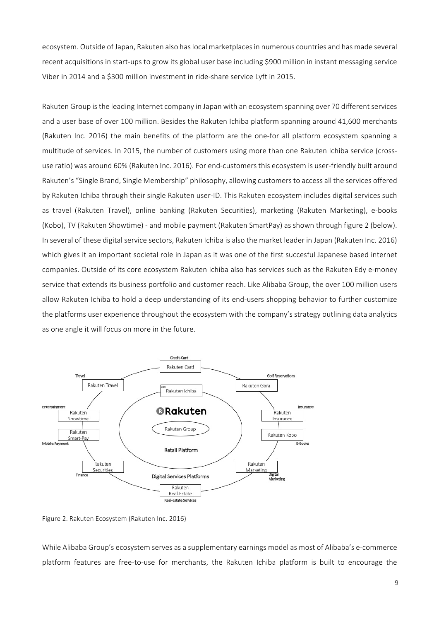ecosystem. Outside of Japan, Rakuten also has local marketplaces in numerous countries and has made several recent acquisitions in start-ups to grow its global user base including \$900 million in instant messaging service Viber in 2014 and a \$300 million investment in ride-share service Lyft in 2015.

Rakuten Group is the leading Internet company in Japan with an ecosystem spanning over 70 different services and a user base of over 100 million. Besides the Rakuten Ichiba platform spanning around 41,600 merchants (Rakuten Inc. 2016) the main benefits of the platform are the one-for all platform ecosystem spanning a multitude of services. In 2015, the number of customers using more than one Rakuten Ichiba service (crossuse ratio) was around 60% (Rakuten Inc. 2016). For end-customers this ecosystem is user-friendly built around Rakuten's "Single Brand, Single Membership" philosophy, allowing customers to access all the services offered by Rakuten Ichiba through their single Rakuten user-ID. This Rakuten ecosystem includes digital services such as travel (Rakuten Travel), online banking (Rakuten Securities), marketing (Rakuten Marketing), e-books (Kobo), TV (Rakuten Showtime) - and mobile payment (Rakuten SmartPay) as shown through figure 2 (below). In several of these digital service sectors, Rakuten Ichiba is also the market leader in Japan (Rakuten Inc. 2016) which gives it an important societal role in Japan as it was one of the first succesful Japanese based internet companies. Outside of its core ecosystem Rakuten Ichiba also has services such as the Rakuten Edy e-money service that extends its business portfolio and customer reach. Like Alibaba Group, the over 100 million users allow Rakuten Ichiba to hold a deep understanding of its end-users shopping behavior to further customize the platforms user experience throughout the ecosystem with the company's strategy outlining data analytics as one angle it will focus on more in the future.



Figure 2. Rakuten Ecosystem (Rakuten Inc. 2016)

While Alibaba Group's ecosystem serves as a supplementary earnings model as most of Alibaba's e-commerce platform features are free-to-use for merchants, the Rakuten Ichiba platform is built to encourage the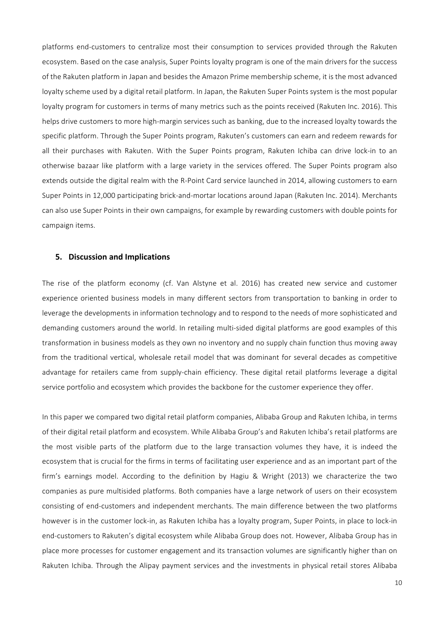platforms end-customers to centralize most their consumption to services provided through the Rakuten ecosystem. Based on the case analysis, Super Points loyalty program is one of the main drivers for the success of the Rakuten platform in Japan and besides the Amazon Prime membership scheme, it is the most advanced loyalty scheme used by a digital retail platform. In Japan, the Rakuten Super Points system is the most popular loyalty program for customers in terms of many metrics such as the points received (Rakuten Inc. 2016). This helps drive customers to more high-margin services such as banking, due to the increased loyalty towards the specific platform. Through the Super Points program, Rakuten's customers can earn and redeem rewards for all their purchases with Rakuten. With the Super Points program, Rakuten Ichiba can drive lock-in to an otherwise bazaar like platform with a large variety in the services offered. The Super Points program also extends outside the digital realm with the R-Point Card service launched in 2014, allowing customers to earn Super Points in 12,000 participating brick-and-mortar locations around Japan (Rakuten Inc. 2014). Merchants can also use Super Points in their own campaigns, for example by rewarding customers with double points for campaign items.

#### **5. Discussion and Implications**

The rise of the platform economy (cf. Van Alstyne et al. 2016) has created new service and customer experience oriented business models in many different sectors from transportation to banking in order to leverage the developments in information technology and to respond to the needs of more sophisticated and demanding customers around the world. In retailing multi-sided digital platforms are good examples of this transformation in business models as they own no inventory and no supply chain function thus moving away from the traditional vertical, wholesale retail model that was dominant for several decades as competitive advantage for retailers came from supply-chain efficiency. These digital retail platforms leverage a digital service portfolio and ecosystem which provides the backbone for the customer experience they offer.

In this paper we compared two digital retail platform companies, Alibaba Group and Rakuten Ichiba, in terms of their digital retail platform and ecosystem. While Alibaba Group's and Rakuten Ichiba's retail platforms are the most visible parts of the platform due to the large transaction volumes they have, it is indeed the ecosystem that is crucial for the firms in terms of facilitating user experience and as an important part of the firm's earnings model. According to the definition by Hagiu & Wright (2013) we characterize the two companies as pure multisided platforms. Both companies have a large network of users on their ecosystem consisting of end-customers and independent merchants. The main difference between the two platforms however is in the customer lock-in, as Rakuten Ichiba has a loyalty program, Super Points, in place to lock-in end-customers to Rakuten's digital ecosystem while Alibaba Group does not. However, Alibaba Group has in place more processes for customer engagement and its transaction volumes are significantly higher than on Rakuten Ichiba. Through the Alipay payment services and the investments in physical retail stores Alibaba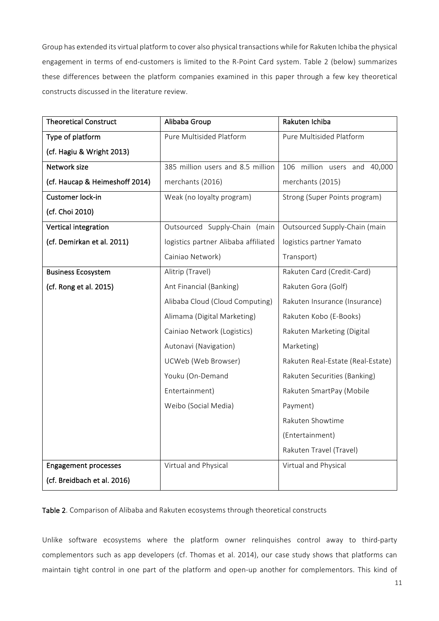Group has extended its virtual platform to cover also physical transactions while for Rakuten Ichiba the physical engagement in terms of end-customers is limited to the R-Point Card system. Table 2 (below) summarizes these differences between the platform companies examined in this paper through a few key theoretical constructs discussed in the literature review.

| <b>Theoretical Construct</b>   | Alibaba Group                        | Rakuten Ichiba                    |
|--------------------------------|--------------------------------------|-----------------------------------|
| Type of platform               | Pure Multisided Platform             | Pure Multisided Platform          |
| (cf. Hagiu & Wright 2013)      |                                      |                                   |
| Network size                   | 385 million users and 8.5 million    | 106 million users and<br>40,000   |
| (cf. Haucap & Heimeshoff 2014) | merchants (2016)                     | merchants (2015)                  |
| Customer lock-in               | Weak (no loyalty program)            | Strong (Super Points program)     |
| (cf. Choi 2010)                |                                      |                                   |
| Vertical integration           | Outsourced Supply-Chain (main        | Outsourced Supply-Chain (main     |
| (cf. Demirkan et al. 2011)     | logistics partner Alibaba affiliated | logistics partner Yamato          |
|                                | Cainiao Network)                     | Transport)                        |
| <b>Business Ecosystem</b>      | Alitrip (Travel)                     | Rakuten Card (Credit-Card)        |
| (cf. Rong et al. 2015)         | Ant Financial (Banking)              | Rakuten Gora (Golf)               |
|                                | Alibaba Cloud (Cloud Computing)      | Rakuten Insurance (Insurance)     |
|                                | Alimama (Digital Marketing)          | Rakuten Kobo (E-Books)            |
|                                | Cainiao Network (Logistics)          | Rakuten Marketing (Digital        |
|                                | Autonavi (Navigation)                | Marketing)                        |
|                                | UCWeb (Web Browser)                  | Rakuten Real-Estate (Real-Estate) |
|                                | Youku (On-Demand                     | Rakuten Securities (Banking)      |
|                                | Entertainment)                       | Rakuten SmartPay (Mobile          |
|                                | Weibo (Social Media)                 | Payment)                          |
|                                |                                      | Rakuten Showtime                  |
|                                |                                      | (Entertainment)                   |
|                                |                                      | Rakuten Travel (Travel)           |
| <b>Engagement processes</b>    | Virtual and Physical                 | Virtual and Physical              |
| (cf. Breidbach et al. 2016)    |                                      |                                   |

Table 2. Comparison of Alibaba and Rakuten ecosystems through theoretical constructs

Unlike software ecosystems where the platform owner relinquishes control away to third-party complementors such as app developers (cf. Thomas et al. 2014), our case study shows that platforms can maintain tight control in one part of the platform and open-up another for complementors. This kind of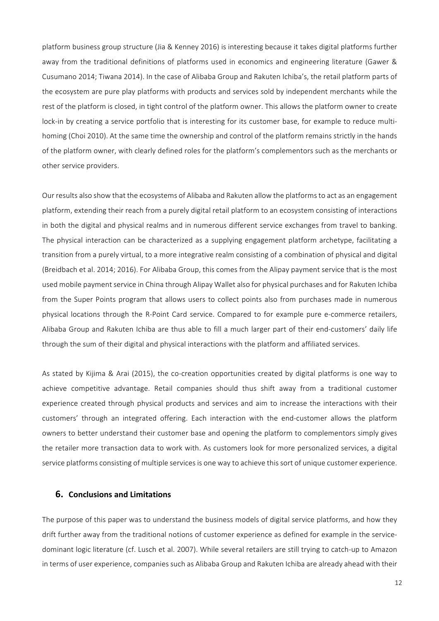platform business group structure (Jia & Kenney 2016) is interesting because it takes digital platforms further away from the traditional definitions of platforms used in economics and engineering literature (Gawer & Cusumano 2014; Tiwana 2014). In the case of Alibaba Group and Rakuten Ichiba's, the retail platform parts of the ecosystem are pure play platforms with products and services sold by independent merchants while the rest of the platform is closed, in tight control of the platform owner. This allows the platform owner to create lock-in by creating a service portfolio that is interesting for its customer base, for example to reduce multihoming (Choi 2010). At the same time the ownership and control of the platform remains strictly in the hands of the platform owner, with clearly defined roles for the platform's complementors such as the merchants or other service providers.

Our results also show that the ecosystems of Alibaba and Rakuten allow the platforms to act as an engagement platform, extending their reach from a purely digital retail platform to an ecosystem consisting of interactions in both the digital and physical realms and in numerous different service exchanges from travel to banking. The physical interaction can be characterized as a supplying engagement platform archetype, facilitating a transition from a purely virtual, to a more integrative realm consisting of a combination of physical and digital (Breidbach et al. 2014; 2016). For Alibaba Group, this comes from the Alipay payment service that is the most used mobile payment service in China through Alipay Wallet also for physical purchases and for Rakuten Ichiba from the Super Points program that allows users to collect points also from purchases made in numerous physical locations through the R-Point Card service. Compared to for example pure e-commerce retailers, Alibaba Group and Rakuten Ichiba are thus able to fill a much larger part of their end-customers' daily life through the sum of their digital and physical interactions with the platform and affiliated services.

As stated by Kijima & Arai (2015), the co-creation opportunities created by digital platforms is one way to achieve competitive advantage. Retail companies should thus shift away from a traditional customer experience created through physical products and services and aim to increase the interactions with their customers' through an integrated offering. Each interaction with the end-customer allows the platform owners to better understand their customer base and opening the platform to complementors simply gives the retailer more transaction data to work with. As customers look for more personalized services, a digital service platforms consisting of multiple services is one way to achieve this sort of unique customer experience.

# **6. Conclusions and Limitations**

The purpose of this paper was to understand the business models of digital service platforms, and how they drift further away from the traditional notions of customer experience as defined for example in the servicedominant logic literature (cf. Lusch et al. 2007). While several retailers are still trying to catch-up to Amazon in terms of user experience, companies such as Alibaba Group and Rakuten Ichiba are already ahead with their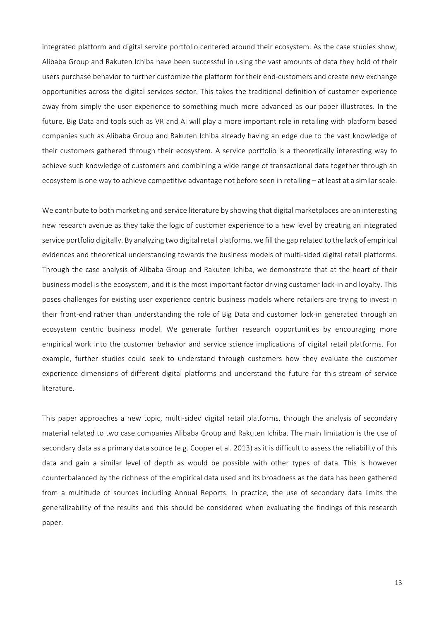integrated platform and digital service portfolio centered around their ecosystem. As the case studies show, Alibaba Group and Rakuten Ichiba have been successful in using the vast amounts of data they hold of their users purchase behavior to further customize the platform for their end-customers and create new exchange opportunities across the digital services sector. This takes the traditional definition of customer experience away from simply the user experience to something much more advanced as our paper illustrates. In the future, Big Data and tools such as VR and AI will play a more important role in retailing with platform based companies such as Alibaba Group and Rakuten Ichiba already having an edge due to the vast knowledge of their customers gathered through their ecosystem. A service portfolio is a theoretically interesting way to achieve such knowledge of customers and combining a wide range of transactional data together through an ecosystem is one way to achieve competitive advantage not before seen in retailing – at least at a similar scale.

We contribute to both marketing and service literature by showing that digital marketplaces are an interesting new research avenue as they take the logic of customer experience to a new level by creating an integrated service portfolio digitally. By analyzing two digital retail platforms, we fill the gap related to the lack of empirical evidences and theoretical understanding towards the business models of multi-sided digital retail platforms. Through the case analysis of Alibaba Group and Rakuten Ichiba, we demonstrate that at the heart of their business model is the ecosystem, and it is the most important factor driving customer lock-in and loyalty. This poses challenges for existing user experience centric business models where retailers are trying to invest in their front-end rather than understanding the role of Big Data and customer lock-in generated through an ecosystem centric business model. We generate further research opportunities by encouraging more empirical work into the customer behavior and service science implications of digital retail platforms. For example, further studies could seek to understand through customers how they evaluate the customer experience dimensions of different digital platforms and understand the future for this stream of service literature. 

This paper approaches a new topic, multi-sided digital retail platforms, through the analysis of secondary material related to two case companies Alibaba Group and Rakuten Ichiba. The main limitation is the use of secondary data as a primary data source (e.g. Cooper et al. 2013) as it is difficult to assess the reliability of this data and gain a similar level of depth as would be possible with other types of data. This is however counterbalanced by the richness of the empirical data used and its broadness as the data has been gathered from a multitude of sources including Annual Reports. In practice, the use of secondary data limits the generalizability of the results and this should be considered when evaluating the findings of this research paper.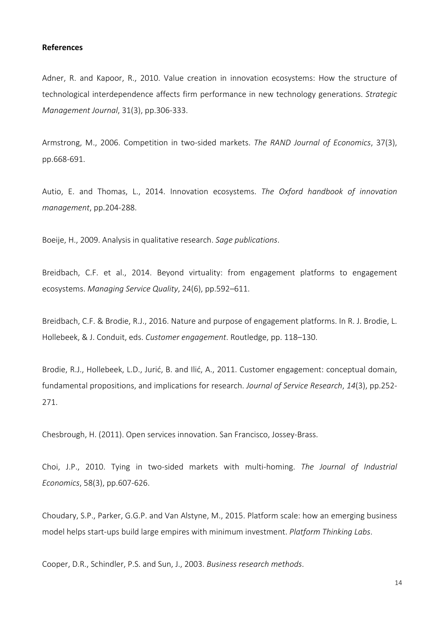#### **References**

Adner, R. and Kapoor, R., 2010. Value creation in innovation ecosystems: How the structure of technological interdependence affects firm performance in new technology generations. Strategic *Management Journal*, 31(3), pp.306-333.

Armstrong, M., 2006. Competition in two-sided markets. *The RAND Journal of Economics*, 37(3), pp.668-691.

Autio, E. and Thomas, L., 2014. Innovation ecosystems. *The Oxford handbook of innovation management*, pp.204-288.

Boeije, H., 2009. Analysis in qualitative research. Sage publications.

Breidbach, C.F. et al., 2014. Beyond virtuality: from engagement platforms to engagement ecosystems. *Managing Service Quality*, 24(6), pp.592–611.

Breidbach, C.F. & Brodie, R.J., 2016. Nature and purpose of engagement platforms. In R. J. Brodie, L. Hollebeek, & J. Conduit, eds. Customer engagement. Routledge, pp. 118-130.

Brodie, R.J., Hollebeek, L.D., Jurić, B. and Ilić, A., 2011. Customer engagement: conceptual domain, fundamental propositions, and implications for research. *Journal of Service Research*, 14(3), pp.252-271.

Chesbrough, H. (2011). Open services innovation. San Francisco, Jossey-Brass.

Choi, J.P., 2010. Tying in two-sided markets with multi-homing. *The Journal of Industrial Economics*, 58(3), pp.607-626.

Choudary, S.P., Parker, G.G.P. and Van Alstyne, M., 2015. Platform scale: how an emerging business model helps start-ups build large empires with minimum investment. *Platform Thinking Labs.* 

Cooper, D.R., Schindler, P.S. and Sun, J., 2003. *Business research methods*.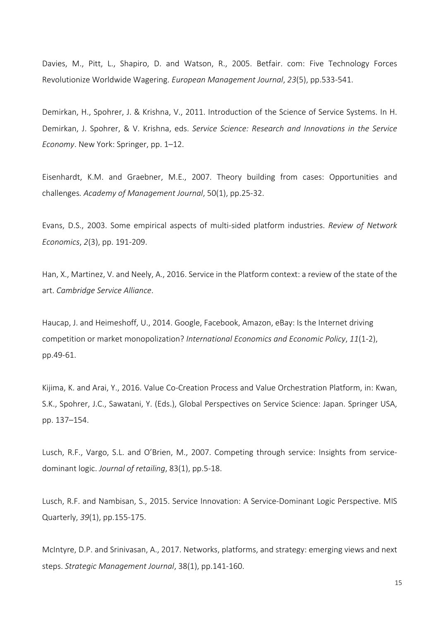Davies, M., Pitt, L., Shapiro, D. and Watson, R., 2005. Betfair. com: Five Technology Forces Revolutionize Worldwide Wagering. *European Management Journal*, *23*(5), pp.533-541.

Demirkan, H., Spohrer, J. & Krishna, V., 2011. Introduction of the Science of Service Systems. In H. Demirkan, J. Spohrer, & V. Krishna, eds. *Service Science: Research and Innovations in the Service Economy*. New York: Springer, pp. 1–12.

Eisenhardt, K.M. and Graebner, M.E., 2007. Theory building from cases: Opportunities and challenges*. Academy of Management Journal*, 50(1), pp.25-32.

Evans, D.S., 2003. Some empirical aspects of multi-sided platform industries. *Review of Network Economics*, 2(3), pp. 191-209.

Han, X., Martinez, V. and Neely, A., 2016. Service in the Platform context: a review of the state of the art. *Cambridge Service Alliance*. 

Haucap, J. and Heimeshoff, U., 2014. Google, Facebook, Amazon, eBay: Is the Internet driving competition or market monopolization? International Economics and Economic Policy, 11(1-2), pp.49-61. 

Kijima, K. and Arai, Y., 2016. Value Co-Creation Process and Value Orchestration Platform, in: Kwan, S.K., Spohrer, J.C., Sawatani, Y. (Eds.), Global Perspectives on Service Science: Japan. Springer USA, pp. 137–154.

Lusch, R.F., Vargo, S.L. and O'Brien, M., 2007. Competing through service: Insights from servicedominant logic. *Journal of retailing*, 83(1), pp.5-18.

Lusch, R.F. and Nambisan, S., 2015. Service Innovation: A Service-Dominant Logic Perspective. MIS Quarterly, 39(1), pp.155-175.

McIntyre, D.P. and Srinivasan, A., 2017. Networks, platforms, and strategy: emerging views and next steps. Strategic Management Journal, 38(1), pp.141-160.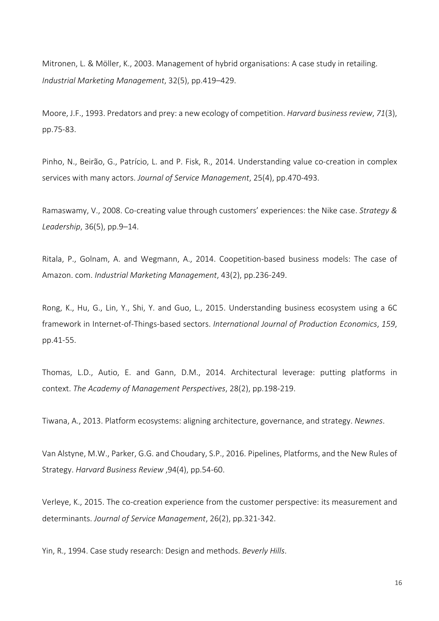Mitronen, L. & Möller, K., 2003. Management of hybrid organisations: A case study in retailing. *Industrial Marketing Management*, 32(5), pp.419–429.

Moore, J.F., 1993. Predators and prey: a new ecology of competition. *Harvard business review*, 71(3), pp.75-83.

Pinho, N., Beirão, G., Patrício, L. and P. Fisk, R., 2014. Understanding value co-creation in complex services with many actors. *Journal of Service Management*, 25(4), pp.470-493.

Ramaswamy, V., 2008. Co-creating value through customers' experiences: the Nike case. Strategy & *Leadership*, 36(5), pp.9–14.

Ritala, P., Golnam, A. and Wegmann, A., 2014. Coopetition-based business models: The case of Amazon. com. *Industrial Marketing Management*, 43(2), pp.236-249.

Rong, K., Hu, G., Lin, Y., Shi, Y. and Guo, L., 2015. Understanding business ecosystem using a 6C framework in Internet-of-Things-based sectors. *International Journal of Production Economics*, 159, pp.41-55.

Thomas, L.D., Autio, E. and Gann, D.M., 2014. Architectural leverage: putting platforms in context. *The Academy of Management Perspectives*, 28(2), pp.198-219.

Tiwana, A., 2013. Platform ecosystems: aligning architecture, governance, and strategy. *Newnes*.

Van Alstyne, M.W., Parker, G.G. and Choudary, S.P., 2016. Pipelines, Platforms, and the New Rules of Strategy. *Harvard Business Review* ,94(4), pp.54-60.

Verleye, K., 2015. The co-creation experience from the customer perspective: its measurement and determinants. *Journal of Service Management*, 26(2), pp.321-342.

Yin, R., 1994. Case study research: Design and methods. *Beverly Hills*.